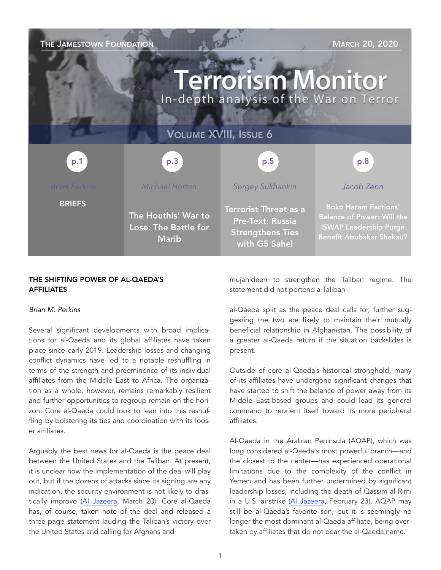| THE JAMESTOWN FOUNDATION<br><b>MARCH 20, 2020</b><br><b>Terrorism Monitor</b><br>In-depth analysis of the War on Terror |                                                             |                                                                                              |                                                                                                                                      |
|-------------------------------------------------------------------------------------------------------------------------|-------------------------------------------------------------|----------------------------------------------------------------------------------------------|--------------------------------------------------------------------------------------------------------------------------------------|
| <b>VOLUME XVIII, ISSUE 6</b>                                                                                            |                                                             |                                                                                              |                                                                                                                                      |
| p.1                                                                                                                     | p.3                                                         | p.5                                                                                          | p.8                                                                                                                                  |
| <b>Brian Perkins</b>                                                                                                    | Michael Horton                                              | Sergey Sukhankin                                                                             | Jacob Zenn                                                                                                                           |
| <b>BRIEFS</b>                                                                                                           | The Houthis' War to<br>Lose: The Battle for<br><b>Marib</b> | <b>Terrorist Threat as a</b><br>Pre-Text: Russia<br><b>Strengthens Ties</b><br>with G5 Sahel | <b>Boko Haram Factions'</b><br><b>Balance of Power: Will the</b><br><b>ISWAP Leadership Purge</b><br><b>Benefit Abubakar Shekau?</b> |

## THE SHIFTING POWER OF AL-QAEDA'S **AFFILIATES**

#### *Brian M. Perkins*

Several significant developments with broad implications for al-Qaeda and its global affiliates have taken place since early 2019. Leadership losses and changing conflict dynamics have led to a notable reshuffling in terms of the strength and preeminence of its individual affiliates from the Middle East to Africa. The organization as a whole, however, remains remarkably resilient and further opportunities to regroup remain on the horizon. Core al-Qaeda could look to lean into this reshuffling by bolstering its ties and coordination with its looser affiliates.

Arguably the best news for al-Qaeda is the peace deal between the United States and the Taliban. At present, it is unclear how the implementation of the deal will play out, but if the dozens of attacks since its signing are any indication, the security environment is not likely to drastically improve [\(Al Jazeera,](https://www.aljazeera.com/news/2020/03/dozens-afghan-troops-killed-insider-attack-officials-200320074159069.html) March 20). Core al-Qaeda has, of course, taken note of the deal and released a three-page statement lauding the Taliban's victory over the United States and calling for Afghans and

mujahideen to strengthen the Taliban regime. The statement did not portend a Taliban-

al-Qaeda split as the peace deal calls for, further suggesting the two are likely to maintain their mutually beneficial relationship in Afghanistan. The possibility of a greater al-Qaeda return if the situation backslides is present.

Outside of core al-Qaeda's historical stronghold, many of its affiliates have undergone significant changes that have started to shift the balance of power away from its Middle East-based groups and could lead its general command to reorient itself toward its more peripheral affiliates.

Al-Qaeda in the Arabian Peninsula (AQAP), which was long considered al-Qaeda's most powerful branch—and the closest to the center—has experienced operational limitations due to the complexity of the conflict in Yemen and has been further undermined by significant leadership losses, including the death of Qassim al-Rimi in a U.S. airstrike ([Al Jazeera,](https://www.aljazeera.com/news/2020/02/aqap-confirms-death-leader-qassim-al-rimi-200223183017775.html) February 23). AQAP may still be al-Qaeda's favorite son, but it is seemingly no longer the most dominant al-Qaeda affiliate, being overtaken by affiliates that do not bear the al-Qaeda name.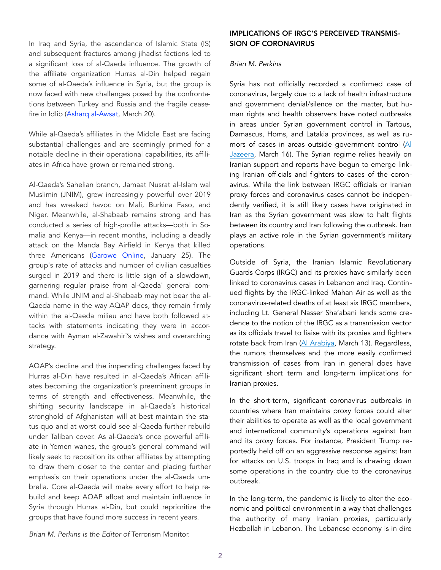In Iraq and Syria, the ascendance of Islamic State (IS) and subsequent fractures among jihadist factions led to a significant loss of al-Qaeda influence. The growth of the affiliate organization Hurras al-Din helped regain some of al-Qaeda's influence in Syria, but the group is now faced with new challenges posed by the confrontations between Turkey and Russia and the fragile ceasefire in Idlib ([Asharq al-Awsat](https://aawsat.com/english/home/article/2189971/hurras-al-din-attacks-turkish-forces-northwest-syri), March 20).

While al-Qaeda's affiliates in the Middle East are facing substantial challenges and are seemingly primed for a notable decline in their operational capabilities, its affiliates in Africa have grown or remained strong.

Al-Qaeda's Sahelian branch, Jamaat Nusrat al-Islam wal Muslimin (JNIM), grew increasingly powerful over 2019 and has wreaked havoc on Mali, Burkina Faso, and Niger. Meanwhile, al-Shabaab remains strong and has conducted a series of high-profile attacks—both in Somalia and Kenya—in recent months, including a deadly attack on the Manda Bay Airfield in Kenya that killed three Americans [\(Garowe Online,](https://www.garoweonline.com/en/news/somalia/timely-response-reduced-casualties-in-al-shabaabs-raid-at-manda-airfield-in-kenya) January 25). The group's rate of attacks and number of civilian casualties surged in 2019 and there is little sign of a slowdown, garnering regular praise from al-Qaeda' general command. While JNIM and al-Shabaab may not bear the al-Qaeda name in the way AQAP does, they remain firmly within the al-Qaeda milieu and have both followed attacks with statements indicating they were in accordance with Ayman al-Zawahiri's wishes and overarching strategy.

AQAP's decline and the impending challenges faced by Hurras al-Din have resulted in al-Qaeda's African affiliates becoming the organization's preeminent groups in terms of strength and effectiveness. Meanwhile, the shifting security landscape in al-Qaeda's historical stronghold of Afghanistan will at best maintain the status quo and at worst could see al-Qaeda further rebuild under Taliban cover. As al-Qaeda's once powerful affiliate in Yemen wanes, the group's general command will likely seek to reposition its other affiliates by attempting to draw them closer to the center and placing further emphasis on their operations under the al-Qaeda umbrella. Core al-Qaeda will make every effort to help rebuild and keep AQAP afloat and maintain influence in Syria through Hurras al-Din, but could reprioritize the groups that have found more success in recent years.

# IMPLICATIONS OF IRGC'S PERCEIVED TRANSMIS-SION OF CORONAVIRUS

### *Brian M. Perkins*

Syria has not officially recorded a confirmed case of coronavirus, largely due to a lack of health infrastructure and government denial/silence on the matter, but human rights and health observers have noted outbreaks in areas under Syrian government control in Tartous, Damascus, Homs, and Latakia provinces, as well as rumors of cases in areas outside government control ([Al](https://www.aljazeera.com/news/2020/03/concern-mounts-catastrophic-coronavirus-outbreak-syria-200316003354976.html%22%20%5Ct%20%22_blank)  [Jazeera,](https://www.aljazeera.com/news/2020/03/concern-mounts-catastrophic-coronavirus-outbreak-syria-200316003354976.html%22%20%5Ct%20%22_blank) March 16). The Syrian regime relies heavily on Iranian support and reports have begun to emerge linking Iranian officials and fighters to cases of the coronavirus. While the link between IRGC officials or Iranian proxy forces and coronavirus cases cannot be independently verified, it is still likely cases have originated in Iran as the Syrian government was slow to halt flights between its country and Iran following the outbreak. Iran plays an active role in the Syrian government's military operations.

Outside of Syria, the Iranian Islamic Revolutionary Guards Corps (IRGC) and its proxies have similarly been linked to coronavirus cases in Lebanon and Iraq. Continued flights by the IRGC-linked Mahan Air as well as the coronavirus-related deaths of at least six IRGC members, including Lt. General Nasser Sha'abani lends some credence to the notion of the IRGC as a transmission vector as its officials travel to liaise with its proxies and fighters rotate back from Iran ([Al Arabiya,](https://english.alarabiya) March 13). Regardless, the rumors themselves and the more easily confirmed transmission of cases from Iran in general does have significant short term and long-term implications for Iranian proxies.

In the short-term, significant coronavirus outbreaks in countries where Iran maintains proxy forces could alter their abilities to operate as well as the local government and international community's operations against Iran and its proxy forces. For instance, President Trump reportedly held off on an aggressive response against Iran for attacks on U.S. troops in Iraq and is drawing down some operations in the country due to the coronavirus outbreak.

In the long-term, the pandemic is likely to alter the economic and political environment in a way that challenges the authority of many Iranian proxies, particularly Hezbollah in Lebanon. The Lebanese economy is in dire

*Brian M. Perkins is the Editor of* Terrorism Monitor.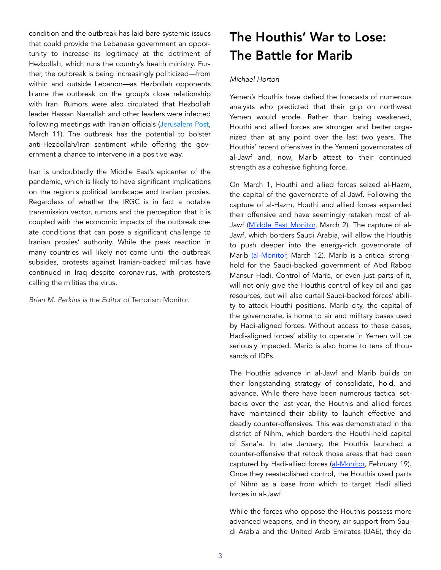condition and the outbreak has laid bare systemic issues that could provide the Lebanese government an opportunity to increase its legitimacy at the detriment of Hezbollah, which runs the country's health ministry. Further, the outbreak is being increasingly politicized—from within and outside Lebanon—as Hezbollah opponents blame the outbreak on the group's close relationship with Iran. Rumors were also circulated that Hezbollah leader Hassan Nasrallah and other leaders were infected following meetings with Iranian officials (Jerusalem Post, March 11). The outbreak has the potential to bolster anti-Hezbollah/Iran sentiment while offering the government a chance to intervene in a positive way.

Iran is undoubtedly the Middle East's epicenter of the pandemic, which is likely to have significant implications on the region's political landscape and Iranian proxies. Regardless of whether the IRGC is in fact a notable transmission vector, rumors and the perception that it is coupled with the economic impacts of the outbreak create conditions that can pose a significant challenge to Iranian proxies' authority. While the peak reaction in many countries will likely not come until the outbreak subsides, protests against Iranian-backed militias have continued in Iraq despite coronavirus, with protesters calling the militias the virus.

*Brian M. Perkins is the Editor of* Terrorism Monitor.

# The Houthis' War to Lose: The Battle for Marib

## *Michael Horton*

Yemen's Houthis have defied the forecasts of numerous analysts who predicted that their grip on northwest Yemen would erode. Rather than being weakened, Houthi and allied forces are stronger and better organized than at any point over the last two years. The Houthis' recent offensives in the Yemeni governorates of al-Jawf and, now, Marib attest to their continued strength as a cohesive fighting force.

On March 1, Houthi and allied forces seized al-Hazm, the capital of the governorate of al-Jawf. Following the capture of al-Hazm, Houthi and allied forces expanded their offensive and have seemingly retaken most of al-Jawf ([Middle East Monitor,](https://www.middleeastmonitor.com/20200302-yemen-houthis-seize-strategic-city-bordering-saudi-arabia/) March 2). The capture of al-Jawf, which borders Saudi Arabia, will allow the Houthis to push deeper into the energy-rich governorate of Marib [\(al-Monitor,](https://www.al-monitor.com/pulse/originals/2020/03/yemen-saudi-arabia-jawf-maarib-houthis-war-borders-oil-) March 12). Marib is a critical stronghold for the Saudi-backed government of Abd Raboo Mansur Hadi. Control of Marib, or even just parts of it, will not only give the Houthis control of key oil and gas resources, but will also curtail Saudi-backed forces' ability to attack Houthi positions. Marib city, the capital of the governorate, is home to air and military bases used by Hadi-aligned forces. Without access to these bases, Hadi-aligned forces' ability to operate in Yemen will be seriously impeded. Marib is also home to tens of thousands of IDPs.

The Houthis advance in al-Jawf and Marib builds on their longstanding strategy of consolidate, hold, and advance. While there have been numerous tactical setbacks over the last year, the Houthis and allied forces have maintained their ability to launch effective and deadly counter-offensives. This was demonstrated in the district of Nihm, which borders the Houthi-held capital of Sana'a. In late January, the Houthis launched a counter-offensive that retook those areas that had been captured by Hadi-allied forces ([al-Monitor,](https://www.al-monitor.com/pulse/originals/2020/02/yemen-nahm-district-houthis-uae-saudi-arabia-legitimate-gvt.html) February 19). Once they reestablished control, the Houthis used parts of Nihm as a base from which to target Hadi allied forces in al-Jawf.

While the forces who oppose the Houthis possess more advanced weapons, and in theory, air support from Saudi Arabia and the United Arab Emirates (UAE), they do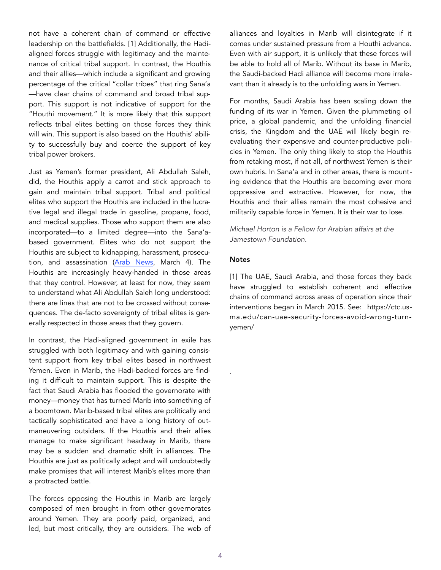not have a coherent chain of command or effective leadership on the battlefields. [1] Additionally, the Hadialigned forces struggle with legitimacy and the maintenance of critical tribal support. In contrast, the Houthis and their allies—which include a significant and growing percentage of the critical "collar tribes" that ring Sana'a —have clear chains of command and broad tribal support. This support is not indicative of support for the "Houthi movement." It is more likely that this support reflects tribal elites betting on those forces they think will win. This support is also based on the Houthis' ability to successfully buy and coerce the support of key tribal power brokers.

Just as Yemen's former president, Ali Abdullah Saleh, did, the Houthis apply a carrot and stick approach to gain and maintain tribal support. Tribal and political elites who support the Houthis are included in the lucrative legal and illegal trade in gasoline, propane, food, and medical supplies. Those who support them are also incorporated—to a limited degree—into the Sana'abased government. Elites who do not support the Houthis are subject to kidnapping, harassment, prosecution, and assassination [\(Arab News,](https://www.arabnews.com/node/1636486/middle-east) March 4). The Houthis are increasingly heavy-handed in those areas that they control. However, at least for now, they seem to understand what Ali Abdullah Saleh long understood: there are lines that are not to be crossed without consequences. The de-facto sovereignty of tribal elites is generally respected in those areas that they govern.

In contrast, the Hadi-aligned government in exile has struggled with both legitimacy and with gaining consistent support from key tribal elites based in northwest Yemen. Even in Marib, the Hadi-backed forces are finding it difficult to maintain support. This is despite the fact that Saudi Arabia has flooded the governorate with money—money that has turned Marib into something of a boomtown. Marib-based tribal elites are politically and tactically sophisticated and have a long history of outmaneuvering outsiders. If the Houthis and their allies manage to make significant headway in Marib, there may be a sudden and dramatic shift in alliances. The Houthis are just as politically adept and will undoubtedly make promises that will interest Marib's elites more than a protracted battle.

The forces opposing the Houthis in Marib are largely composed of men brought in from other governorates around Yemen. They are poorly paid, organized, and led, but most critically, they are outsiders. The web of alliances and loyalties in Marib will disintegrate if it comes under sustained pressure from a Houthi advance. Even with air support, it is unlikely that these forces will be able to hold all of Marib. Without its base in Marib, the Saudi-backed Hadi alliance will become more irrelevant than it already is to the unfolding wars in Yemen.

For months, Saudi Arabia has been scaling down the funding of its war in Yemen. Given the plummeting oil price, a global pandemic, and the unfolding financial crisis, the Kingdom and the UAE will likely begin reevaluating their expensive and counter-productive policies in Yemen. The only thing likely to stop the Houthis from retaking most, if not all, of northwest Yemen is their own hubris. In Sana'a and in other areas, there is mounting evidence that the Houthis are becoming ever more oppressive and extractive. However, for now, the Houthis and their allies remain the most cohesive and militarily capable force in Yemen. It is their war to lose.

*Michael Horton is a Fellow for Arabian affairs at the Jamestown Foundation.* 

#### **Notes**

.

[1] The UAE, Saudi Arabia, and those forces they back have struggled to establish coherent and effective chains of command across areas of operation since their interventions began in March 2015. See: https://ctc.usma.edu/can-uae-security-forces-avoid-wrong-turnyemen/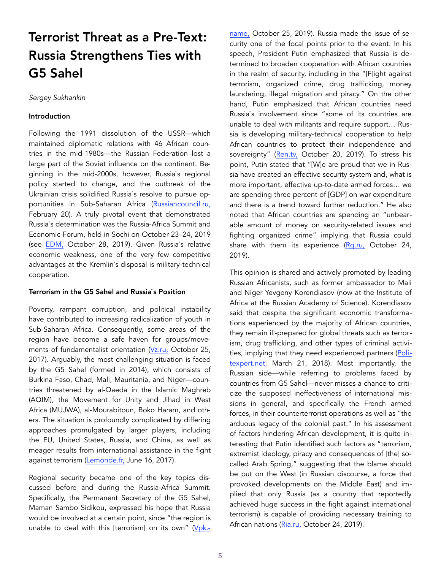# Terrorist Threat as a Pre-Text: Russia Strengthens Ties with G5 Sahel

*Sergey Sukhankin* 

#### Introduction

Following the 1991 dissolution of the USSR—which maintained diplomatic relations with 46 African countries in the mid-1980s—the Russian Federation lost a large part of the Soviet influence on the continent. Beginning in the mid-2000s, however, Russia`s regional policy started to change, and the outbreak of the Ukrainian crisis solidified Russia`s resolve to pursue opportunities in Sub-Saharan Africa ([Russiancouncil.ru,](https://russiancouncil.ru/activity/publications/afrika-rossiya-dostizheniya-problemy-perspektivy/) February 20). A truly pivotal event that demonstrated Russia`s determination was the Russia-Africa Summit and Economic Forum, held in Sochi on October 23–24, 2019 (see [EDM,](https://jamestown.org/program/the-russia-africa-summit-soviet-mistakes-and-fresh-challenges/) October 28, 2019). Given Russia`s relative economic weakness, one of the very few competitive advantages at the Kremlin`s disposal is military-technical cooperation.

#### Terrorism in the G5 Sahel and Russia`s Position

Poverty, rampant corruption, and political instability have contributed to increasing radicalization of youth in Sub-Saharan Africa. Consequently, some areas of the region have become a safe haven for groups/movements of fundamentalist orientation ([Vz.ru,](https://vz.ru/world/2017/10/25/892305.html) October 25, 2017). Arguably, the most challenging situation is faced by the G5 Sahel (formed in 2014), which consists of Burkina Faso, Chad, Mali, Mauritania, and Niger—countries threatened by al-Qaeda in the Islamic Maghreb (AQIM), the Movement for Unity and Jihad in West Africa (MUJWA), al-Mourabitoun, Boko Haram, and others. The situation is profoundly complicated by differing approaches promulgated by larger players, including the EU, United States, Russia, and China, as well as meager results from international assistance in the fight against terrorism ([Lemonde.fr,](https://www.lemonde.fr/afrique/article/2017/06/16/bras-de-fer-aux-nations-unies-entre-paris-et-washington-sur-la-force-antiterroriste-du-g5-sahel_5145573_3212.html) June 16, 2017).

Regional security became one of the key topics discussed before and during the Russia-Africa Summit. Specifically, the Permanent Secretary of the G5 Sahel, Maman Sambo Sidikou, expressed his hope that Russia would be involved at a certain point, since "the region is unable to deal with this [terrorism] on its own" ([Vpk.](https://vpk.name/news/339493_pyat_stran_afriki_namereny_zaprosit_pomosh_rossiiskih_voennyh_sovetnikov.html)- [name,](https://vpk.name/news/339493_pyat_stran_afriki_namereny_zaprosit_pomosh_rossiiskih_voennyh_sovetnikov.html) October 25, 2019). Russia made the issue of security one of the focal points prior to the event. In his speech, President Putin emphasized that Russia is determined to broaden cooperation with African countries in the realm of security, including in the "[F]ight against terrorism, organized crime, drug trafficking, money laundering, illegal migration and piracy." On the other hand, Putin emphasized that African countries need Russia`s involvement since "some of its countries are unable to deal with militants and require support… Russia is developing military-technical cooperation to help African countries to protect their independence and sovereignty" ([Ren.tv,](https://ren.tv/news/v-rossii/470132-putin-rf-okazhet-pomoshch-stranam-afrike-v-borbe-s-terrorizmom) October 20, 2019). To stress his point, Putin stated that "[W]e are proud that we in Russia have created an effective security system and, what is more important, effective up-to-date armed forces… we are spending three percent of [GDP] on war expenditure and there is a trend toward further reduction." He also noted that African countries are spending an "unbearable amount of money on security-related issues and fighting organized crime" implying that Russia could share with them its experience  $(Rg.ru,$  October 24, 2019).

This opinion is shared and actively promoted by leading Russian Africanists, such as former ambassador to Mali and Niger Yevgeny Korendiasov (now at the Institute of Africa at the Russian Academy of Science). Korendiasov said that despite the significant economic transformations experienced by the majority of African countries, they remain ill-prepared for global threats such as terrorism, drug trafficking, and other types of criminal activities, implying that they need experienced partners ([Poli](https://politexpert.net/97305-ekspert-afrika-vazhnyi-partner-rossii-pered-licom-takikh-ugroz-kak-terrorizm-i-narkobiznes)[texpert.net,](https://politexpert.net/97305-ekspert-afrika-vazhnyi-partner-rossii-pered-licom-takikh-ugroz-kak-terrorizm-i-narkobiznes) March 21, 2018). Most importantly, the Russian side—while referring to problems faced by countries from G5 Sahel—never misses a chance to criticize the supposed ineffectiveness of international missions in general, and specifically the French armed forces, in their counterterrorist operations as well as "the arduous legacy of the colonial past." In his assessment of factors hindering African development, it is quite interesting that Putin identified such factors as "terrorism, extremist ideology, piracy and consequences of [the] socalled Arab Spring," suggesting that the blame should be put on the West (in Russian discourse, a force that provoked developments on the Middle East) and implied that only Russia (as a country that reportedly achieved huge success in the fight against international terrorism) is capable of providing necessary training to African nations ([Ria.ru,](https://ria.ru/20191024/1560151436.html?in=t) October 24, 2019).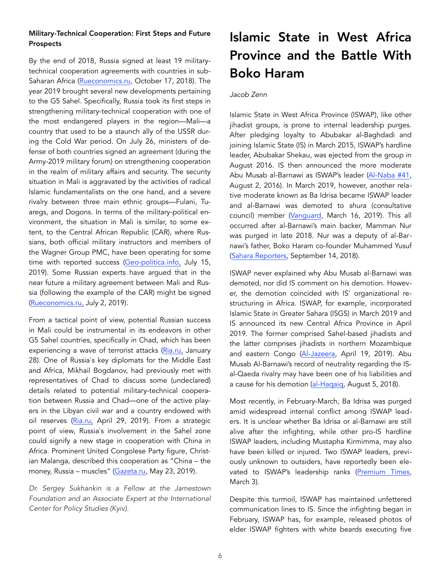## Military-Technical Cooperation: First Steps and Future Prospects

By the end of 2018, Russia signed at least 19 militarytechnical cooperation agreements with countries in sub-Saharan Africa [\(Rueconomics.ru](https://rueconomics.ru/355964-dlya-voennogo-sotrudnichestva-strany-afriki-vybirayut-rossiyu), October 17, 2018). The year 2019 brought several new developments pertaining to the G5 Sahel. Specifically, Russia took its first steps in strengthening military-technical cooperation with one of the most endangered players in the region—Mali—a country that used to be a staunch ally of the USSR during the Cold War period. On July 26, ministers of defense of both countries signed an agreement (during the Army-2019 military forum) on strengthening cooperation in the realm of military affairs and security. The security situation in Mali is aggravated by the activities of radical Islamic fundamentalists on the one hand, and a severe rivalry between three main ethnic groups—Fulani, Tuaregs, and Dogons. In terms of the military-political environment, the situation in Mali is similar, to some extent, to the Central African Republic (CAR), where Russians, both official military instructors and members of the Wagner Group PMC, have been operating for some time with reported success ([Geo-politica.info,](http://geo-politica) July 15, 2019). Some Russian experts have argued that in the near future a military agreement between Mali and Russia (following the example of the CAR) might be signed (Rueconomics.ru, July 2, 2019).

From a tactical point of view, potential Russian success in Mali could be instrumental in its endeavors in other G5 Sahel countries, specifically in Chad, which has been experiencing a wave of terrorist attacks [\(Ria.ru,](https://ria.ru/20200128/1563950128.html) January 28). One of Russia`s key diplomats for the Middle East and Africa, Mikhail Bogdanov, had previously met with representatives of Chad to discuss some (undeclared) details related to potential military-technical cooperation between Russia and Chad—one of the active players in the Libyan civil war and a country endowed with oil reserves (Ria.ru, April 29, 2019). From a strategic point of view, Russia`s involvement in the Sahel zone could signify a new stage in cooperation with China in Africa. Prominent United Congolese Party figure, Christian Malanga, described this cooperation as "China – the money, Russia – muscles" [\(Gazeta.ru](https://www.gazeta.ru/army/2019/05/23/12372901.shtml), May 23, 2019).

*Dr. Sergey Sukhankin is a Fellow at the Jamestown Foundation and an Associate Expert at the International Center for Policy Studies (Kyiv).*

# Islamic State in West Africa Province and the Battle With Boko Haram

### *Jacob Zenn*

Islamic State in West Africa Province (ISWAP), like other jihadist groups, is prone to internal leadership purges. After pledging loyalty to Abubakar al-Baghdadi and joining Islamic State (IS) in March 2015, ISWAP's hardline leader, Abubakar Shekau, was ejected from the group in August 2016. IS then announced the more moderate Abu Musab al-Barnawi as ISWAP's leader ([Al-Naba #41,](https://unmaskingbokoharam.com/2019/04/10/the-islamic-state-al-naba-41-the-wali-of-west-afric) August 2, 2016). In March 2019, however, another relative moderate known as Ba Idrisa became ISWAP leader and al-Barnawi was demoted to *shura* (consultative council) member ([Vanguard](https://w), March 16, 2019). This all occurred after al-Barnawi's main backer, Mamman Nur was purged in late 2018. Nur was a deputy of al-Barnawi's father, Boko Haram co-founder Muhammed Yusuf ([Sahara Reporters,](http://saharareporters.com/2018/09/14/boko-haram-leader-mamman-nur-killed-his-closest-lieutenants-releasing-dapchi-girls) September 14, 2018).

ISWAP never explained why Abu Musab al-Barnawi was demoted, nor did IS comment on his demotion. However, the demotion coincided with IS' organizational restructuring in Africa. ISWAP, for example, incorporated Islamic State in Greater Sahara (ISGS) in March 2019 and IS announced its new Central Africa Province in April 2019. The former comprised Sahel-based jihadists and the latter comprises jihadists in northern Mozambique and eastern Congo ([Al-Jazeera,](https://www.aljazeera.com/news/2019/04/isil-claims-dr-congo-attack-190419064213626.html) April 19, 2019). Abu Musab Al-Barnawi's record of neutrality regarding the ISal-Qaeda rivalry may have been one of his liabilities and a cause for his demotion ([al-Haqaiq,](http://www.aymennjawad.org/21467/the-islamic-state-west-africa-province-vs-abu) August 5, 2018).

Most recently, in February-March, Ba Idrisa was purged amid widespread internal conflict among ISWAP leaders. It is unclear whether Ba Idrisa or al-Barnawi are still alive after the infighting, while other pro-IS hardline ISWAP leaders, including Mustapha Kirmimma, may also have been killed or injured. Two ISWAP leaders, previously unknown to outsiders, have reportedly been elevated to ISWAP's leadership ranks [\(Premium Times,](https://www.premiumtimesng.com/news/headlines/379975-new-) March 3).

Despite this turmoil, ISWAP has maintained unfettered communication lines to IS. Since the infighting began in February, ISWAP has, for example, released photos of elder ISWAP fighters with white beards executing five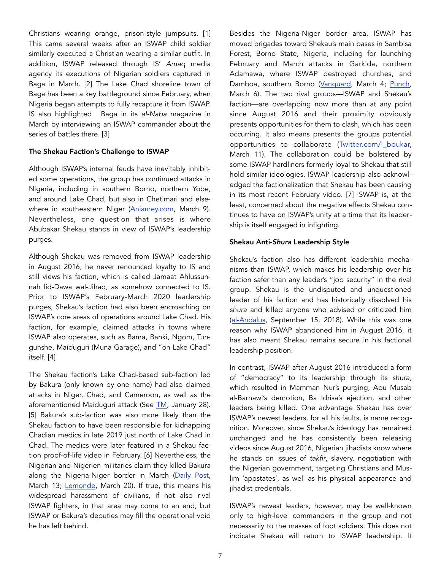Christians wearing orange, prison-style jumpsuits. [1] This came several weeks after an ISWAP child soldier similarly executed a Christian wearing a similar outfit. In addition, ISWAP released through IS' *Amaq* media agency its executions of Nigerian soldiers captured in Baga in March. [2] The Lake Chad shoreline town of Baga has been a key battleground since February, when Nigeria began attempts to fully recapture it from ISWAP. IS also highlighted Baga in its *al-Naba* magazine in March by interviewing an ISWAP commander about the series of battles there. [3]

#### The Shekau Faction's Challenge to ISWAP

Although ISWAP's internal feuds have inevitably inhibited some operations, the group has continued attacks in Nigeria, including in southern Borno, northern Yobe, and around Lake Chad, but also in Chetimari and elsewhere in southeastern Niger (Aniamey.com, March 9). Nevertheless, one question that arises is where Abubakar Shekau stands in view of ISWAP's leadership purges.

Although Shekau was removed from ISWAP leadership in August 2016, he never renounced loyalty to IS and still views his faction, which is called Jamaat Ahlussunnah lid-Dawa wal-Jihad, as somehow connected to IS. Prior to ISWAP's February-March 2020 leadership purges, Shekau's faction had also been encroaching on ISWAP's core areas of operations around Lake Chad. His faction, for example, claimed attacks in towns where ISWAP also operates, such as Bama, Banki, Ngom, Tungunshe, Maiduguri (Muna Garage), and "on Lake Chad" itself. [4]

The Shekau faction's Lake Chad-based sub-faction led by Bakura (only known by one name) had also claimed attacks in Niger, Chad, and Cameroon, as well as the aforementioned Maiduguri attack (See [TM,](https://jamestown.org/program/is-the-bakura-faction-boko-harams-new-force-enhancer-around-lake-chad/) January 28). [5] Bakura's sub-faction was also more likely than the Shekau faction to have been responsible for kidnapping Chadian medics in late 2019 just north of Lake Chad in Chad. The medics were later featured in a Shekau faction proof-of-life video in February. [6] Nevertheless, the Nigerian and Nigerien militaries claim they killed Bakura along the Nigeria-Niger border in March ([Daily Post,](https://dailypost.ng/2020/03/13/boko-haram-iswap-troops-kill-terrorist-leader-bakura-others/) March 13; [Lemonde](https://www.lemonde.fr/afrique/article/2020/03/20/le-niger-annonce-avoir-tue-ibrahim-fakoura-figure-de-proue-de-boko-haram_6033778_3212.html?utm_medium=Social&utm_source=Twitter%22%20%5Cl%20%22Echobox=1584694243), March 20). If true, this means his widespread harassment of civilians, if not also rival ISWAP fighters, in that area may come to an end, but ISWAP or Bakura's deputies may fill the operational void he has left behind.

Besides the Nigeria-Niger border area, ISWAP has moved brigades toward Shekau's main bases in Sambisa Forest, Borno State, Nigeria, including for launching February and March attacks in Garkida, northern Adamawa, where ISWAP destroyed churches, and Damboa, southern Borno ([Vanguard,](https://www.vanguardngr) March 4; [Punch,](https://punchng.com/garkida-residents-of-adamawa-community-still-counting-losses-after-bharam-attacks/) March 6). The two rival groups—ISWAP and Shekau's faction—are overlapping now more than at any point since August 2016 and their proximity obviously presents opportunities for them to clash, which has been occurring. It also means presents the groups potential opportunities to collaborate [\(Twitter.com/l\\_boukar,](https://twitter.com/L_BOUKAR/status/1237812177979035650) March 11). The collaboration could be bolstered by some ISWAP hardliners formerly loyal to Shekau that still hold similar ideologies. ISWAP leadership also acknowledged the factionalization that Shekau has been causing in its most recent February video. [7] ISWAP is, at the least, concerned about the negative effects Shekau continues to have on ISWAP's unity at a time that its leadership is itself engaged in infighting.

#### Shekau Anti-*Shura* Leadership Style

Shekau's faction also has different leadership mechanisms than ISWAP, which makes his leadership over his faction safer than any leader's "job security" in the rival group. Shekau is the undisputed and unquestioned leader of his faction and has historically dissolved his *shura* and killed anyone who advised or criticized him ([al-Andalus,](http://www.aymennjawad.org/21618/aqim-advice-to-boko-haram-dissidents-full) September 15, 2018). While this was one reason why ISWAP abandoned him in August 2016, it has also meant Shekau remains secure in his factional leadership position.

In contrast, ISWAP after August 2016 introduced a form of "democracy" to its leadership through its *shura,* which resulted in Mamman Nur's purging, Abu Musab al-Barnawi's demotion, Ba Idrisa's ejection, and other leaders being killed. One advantage Shekau has over ISWAP's newest leaders, for all his faults, is name recognition. Moreover, since Shekau's ideology has remained unchanged and he has consistently been releasing videos since August 2016, Nigerian jihadists know where he stands on issues of *takfir*, slavery, negotiation with the Nigerian government, targeting Christians and Muslim 'apostates', as well as his physical appearance and jihadist credentials.

ISWAP's newest leaders, however, may be well-known only to high-level commanders in the group and not necessarily to the masses of foot soldiers. This does not indicate Shekau will return to ISWAP leadership. It